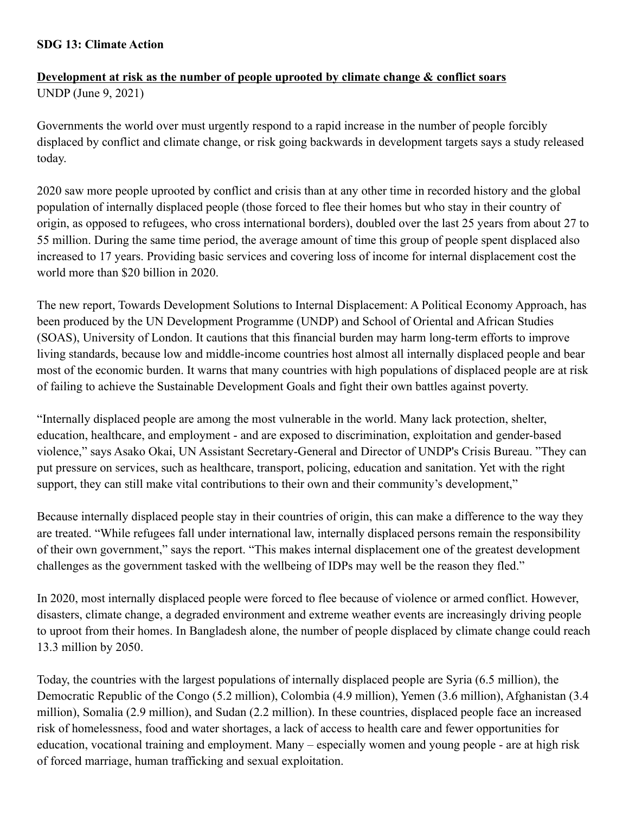## **SDG 13: Climate Action**

## **Development at risk as the number of people uprooted by climate change & conflict soars** UNDP (June 9, 2021)

Governments the world over must urgently respond to a rapid increase in the number of people forcibly displaced by conflict and climate change, or risk going backwards in development targets says a study released today.

2020 saw more people uprooted by conflict and crisis than at any other time in recorded history and the global population of internally displaced people (those forced to flee their homes but who stay in their country of origin, as opposed to refugees, who cross international borders), doubled over the last 25 years from about 27 to 55 million. During the same time period, the average amount of time this group of people spent displaced also increased to 17 years. Providing basic services and covering loss of income for internal displacement cost the world more than \$20 billion in 2020.

The new report, Towards Development Solutions to Internal Displacement: A Political Economy Approach, has been produced by the UN Development Programme (UNDP) and School of Oriental and African Studies (SOAS), University of London. It cautions that this financial burden may harm long-term efforts to improve living standards, because low and middle-income countries host almost all internally displaced people and bear most of the economic burden. It warns that many countries with high populations of displaced people are at risk of failing to achieve the Sustainable Development Goals and fight their own battles against poverty.

"Internally displaced people are among the most vulnerable in the world. Many lack protection, shelter, education, healthcare, and employment - and are exposed to discrimination, exploitation and gender-based violence," says Asako Okai, UN Assistant Secretary-General and Director of UNDP's Crisis Bureau. "They can put pressure on services, such as healthcare, transport, policing, education and sanitation. Yet with the right support, they can still make vital contributions to their own and their community's development,"

Because internally displaced people stay in their countries of origin, this can make a difference to the way they are treated. "While refugees fall under international law, internally displaced persons remain the responsibility of their own government," says the report. "This makes internal displacement one of the greatest development challenges as the government tasked with the wellbeing of IDPs may well be the reason they fled."

In 2020, most internally displaced people were forced to flee because of violence or armed conflict. However, disasters, climate change, a degraded environment and extreme weather events are increasingly driving people to uproot from their homes. In Bangladesh alone, the number of people displaced by climate change could reach 13.3 million by 2050.

Today, the countries with the largest populations of internally displaced people are Syria (6.5 million), the Democratic Republic of the Congo (5.2 million), Colombia (4.9 million), Yemen (3.6 million), Afghanistan (3.4 million), Somalia (2.9 million), and Sudan (2.2 million). In these countries, displaced people face an increased risk of homelessness, food and water shortages, a lack of access to health care and fewer opportunities for education, vocational training and employment. Many – especially women and young people - are at high risk of forced marriage, human trafficking and sexual exploitation.